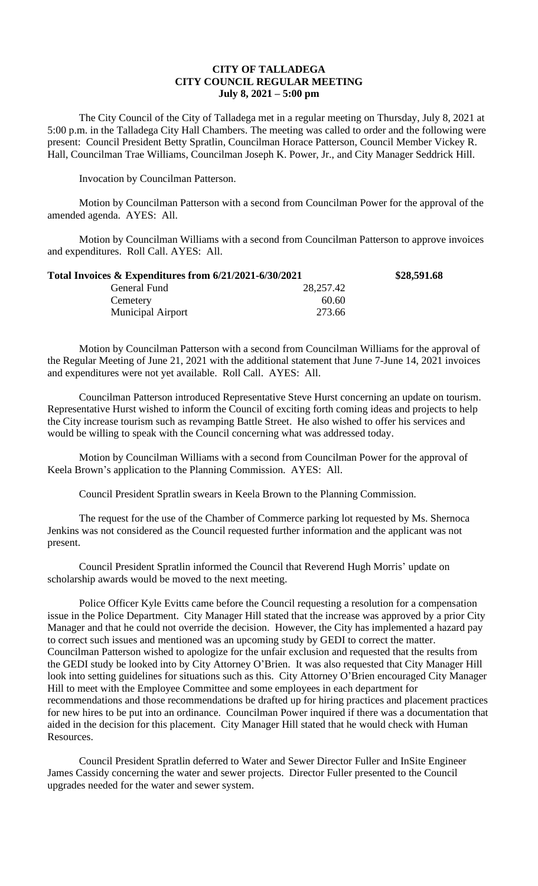## **CITY OF TALLADEGA CITY COUNCIL REGULAR MEETING July 8, 2021 – 5:00 pm**

The City Council of the City of Talladega met in a regular meeting on Thursday, July 8, 2021 at 5:00 p.m. in the Talladega City Hall Chambers. The meeting was called to order and the following were present: Council President Betty Spratlin, Councilman Horace Patterson, Council Member Vickey R. Hall, Councilman Trae Williams, Councilman Joseph K. Power, Jr., and City Manager Seddrick Hill.

Invocation by Councilman Patterson.

Motion by Councilman Patterson with a second from Councilman Power for the approval of the amended agenda. AYES: All.

Motion by Councilman Williams with a second from Councilman Patterson to approve invoices and expenditures. Roll Call. AYES: All.

| Total Invoices & Expenditures from 6/21/2021-6/30/2021 |           | \$28,591.68 |
|--------------------------------------------------------|-----------|-------------|
| General Fund                                           | 28,257.42 |             |
| Cemetery                                               | 60.60     |             |
| <b>Municipal Airport</b>                               | 273.66    |             |

Motion by Councilman Patterson with a second from Councilman Williams for the approval of the Regular Meeting of June 21, 2021 with the additional statement that June 7-June 14, 2021 invoices and expenditures were not yet available. Roll Call. AYES: All.

Councilman Patterson introduced Representative Steve Hurst concerning an update on tourism. Representative Hurst wished to inform the Council of exciting forth coming ideas and projects to help the City increase tourism such as revamping Battle Street. He also wished to offer his services and would be willing to speak with the Council concerning what was addressed today.

Motion by Councilman Williams with a second from Councilman Power for the approval of Keela Brown's application to the Planning Commission. AYES: All.

Council President Spratlin swears in Keela Brown to the Planning Commission.

The request for the use of the Chamber of Commerce parking lot requested by Ms. Shernoca Jenkins was not considered as the Council requested further information and the applicant was not present.

Council President Spratlin informed the Council that Reverend Hugh Morris' update on scholarship awards would be moved to the next meeting.

Police Officer Kyle Evitts came before the Council requesting a resolution for a compensation issue in the Police Department. City Manager Hill stated that the increase was approved by a prior City Manager and that he could not override the decision. However, the City has implemented a hazard pay to correct such issues and mentioned was an upcoming study by GEDI to correct the matter. Councilman Patterson wished to apologize for the unfair exclusion and requested that the results from the GEDI study be looked into by City Attorney O'Brien. It was also requested that City Manager Hill look into setting guidelines for situations such as this. City Attorney O'Brien encouraged City Manager Hill to meet with the Employee Committee and some employees in each department for recommendations and those recommendations be drafted up for hiring practices and placement practices for new hires to be put into an ordinance. Councilman Power inquired if there was a documentation that aided in the decision for this placement. City Manager Hill stated that he would check with Human Resources.

Council President Spratlin deferred to Water and Sewer Director Fuller and InSite Engineer James Cassidy concerning the water and sewer projects. Director Fuller presented to the Council upgrades needed for the water and sewer system.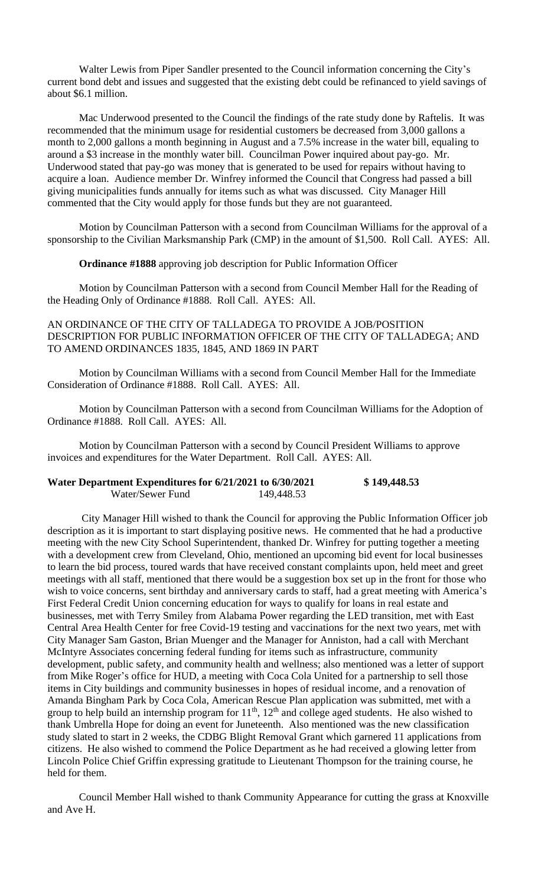Walter Lewis from Piper Sandler presented to the Council information concerning the City's current bond debt and issues and suggested that the existing debt could be refinanced to yield savings of about \$6.1 million.

Mac Underwood presented to the Council the findings of the rate study done by Raftelis. It was recommended that the minimum usage for residential customers be decreased from 3,000 gallons a month to 2,000 gallons a month beginning in August and a 7.5% increase in the water bill, equaling to around a \$3 increase in the monthly water bill. Councilman Power inquired about pay-go. Mr. Underwood stated that pay-go was money that is generated to be used for repairs without having to acquire a loan. Audience member Dr. Winfrey informed the Council that Congress had passed a bill giving municipalities funds annually for items such as what was discussed. City Manager Hill commented that the City would apply for those funds but they are not guaranteed.

Motion by Councilman Patterson with a second from Councilman Williams for the approval of a sponsorship to the Civilian Marksmanship Park (CMP) in the amount of \$1,500. Roll Call. AYES: All.

**Ordinance #1888** approving job description for Public Information Officer

Motion by Councilman Patterson with a second from Council Member Hall for the Reading of the Heading Only of Ordinance #1888. Roll Call. AYES: All.

## AN ORDINANCE OF THE CITY OF TALLADEGA TO PROVIDE A JOB/POSITION DESCRIPTION FOR PUBLIC INFORMATION OFFICER OF THE CITY OF TALLADEGA; AND TO AMEND ORDINANCES 1835, 1845, AND 1869 IN PART

Motion by Councilman Williams with a second from Council Member Hall for the Immediate Consideration of Ordinance #1888. Roll Call. AYES: All.

Motion by Councilman Patterson with a second from Councilman Williams for the Adoption of Ordinance #1888. Roll Call. AYES: All.

Motion by Councilman Patterson with a second by Council President Williams to approve invoices and expenditures for the Water Department. Roll Call. AYES: All.

## **Water Department Expenditures for 6/21/2021 to 6/30/2021 \$ 149,448.53** Water/Sewer Fund 149,448.53

City Manager Hill wished to thank the Council for approving the Public Information Officer job description as it is important to start displaying positive news. He commented that he had a productive meeting with the new City School Superintendent, thanked Dr. Winfrey for putting together a meeting with a development crew from Cleveland, Ohio, mentioned an upcoming bid event for local businesses to learn the bid process, toured wards that have received constant complaints upon, held meet and greet meetings with all staff, mentioned that there would be a suggestion box set up in the front for those who wish to voice concerns, sent birthday and anniversary cards to staff, had a great meeting with America's First Federal Credit Union concerning education for ways to qualify for loans in real estate and businesses, met with Terry Smiley from Alabama Power regarding the LED transition, met with East Central Area Health Center for free Covid-19 testing and vaccinations for the next two years, met with City Manager Sam Gaston, Brian Muenger and the Manager for Anniston, had a call with Merchant McIntyre Associates concerning federal funding for items such as infrastructure, community development, public safety, and community health and wellness; also mentioned was a letter of support from Mike Roger's office for HUD, a meeting with Coca Cola United for a partnership to sell those items in City buildings and community businesses in hopes of residual income, and a renovation of Amanda Bingham Park by Coca Cola, American Rescue Plan application was submitted, met with a group to help build an internship program for  $11<sup>th</sup>$ ,  $12<sup>th</sup>$  and college aged students. He also wished to thank Umbrella Hope for doing an event for Juneteenth. Also mentioned was the new classification study slated to start in 2 weeks, the CDBG Blight Removal Grant which garnered 11 applications from citizens. He also wished to commend the Police Department as he had received a glowing letter from Lincoln Police Chief Griffin expressing gratitude to Lieutenant Thompson for the training course, he held for them.

Council Member Hall wished to thank Community Appearance for cutting the grass at Knoxville and Ave H.